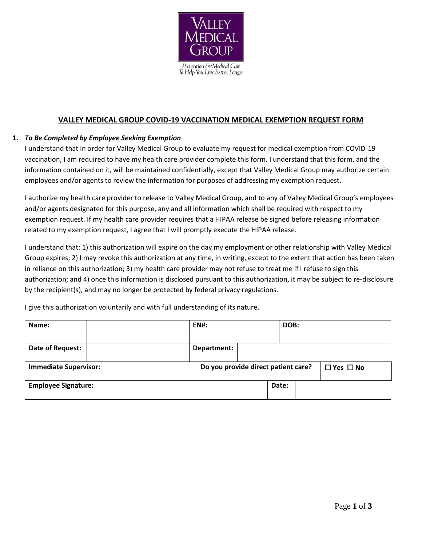

## **VALLEY MEDICAL GROUP COVID-19 VACCINATION MEDICAL EXEMPTION REQUEST FORM**

## **1.** *To Be Completed by Employee Seeking Exemption*

I understand that in order for Valley Medical Group to evaluate my request for medical exemption from COVID-19 vaccination, I am required to have my health care provider complete this form. I understand that this form, and the information contained on it, will be maintained confidentially, except that Valley Medical Group may authorize certain employees and/or agents to review the information for purposes of addressing my exemption request.

I authorize my health care provider to release to Valley Medical Group, and to any of Valley Medical Group's employees and/or agents designated for this purpose, any and all information which shall be required with respect to my exemption request. If my health care provider requires that a HIPAA release be signed before releasing information related to my exemption request, I agree that I will promptly execute the HIPAA release.

I understand that: 1) this authorization will expire on the day my employment or other relationship with Valley Medical Group expires; 2) I may revoke this authorization at any time, in writing, except to the extent that action has been taken in reliance on this authorization; 3) my health care provider may not refuse to treat me if I refuse to sign this authorization; and 4) once this information is disclosed pursuant to this authorization, it may be subject to re-disclosure by the recipient(s), and may no longer be protected by federal privacy regulations.

I give this authorization voluntarily and with full understanding of its nature.

| Name:                        |  |  | <b>EN#:</b>                         |             |  | DOB:  |                      |  |
|------------------------------|--|--|-------------------------------------|-------------|--|-------|----------------------|--|
|                              |  |  |                                     |             |  |       |                      |  |
| Date of Request:             |  |  |                                     | Department: |  |       |                      |  |
| <b>Immediate Supervisor:</b> |  |  |                                     |             |  |       | $\Box$ Yes $\Box$ No |  |
|                              |  |  | Do you provide direct patient care? |             |  |       |                      |  |
| <b>Employee Signature:</b>   |  |  |                                     |             |  | Date: |                      |  |
|                              |  |  |                                     |             |  |       |                      |  |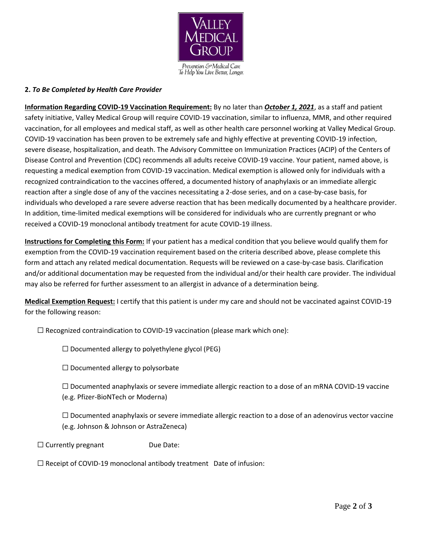

## **2.** *To Be Completed by Health Care Provider*

**Information Regarding COVID-19 Vaccination Requirement:** By no later than *October 1, 2021*, as a staff and patient safety initiative, Valley Medical Group will require COVID-19 vaccination, similar to influenza, MMR, and other required vaccination, for all employees and medical staff, as well as other health care personnel working at Valley Medical Group. COVID-19 vaccination has been proven to be extremely safe and highly effective at preventing COVID-19 infection, severe disease, hospitalization, and death. The Advisory Committee on Immunization Practices (ACIP) of the Centers of Disease Control and Prevention (CDC) recommends all adults receive COVID-19 vaccine. Your patient, named above, is requesting a medical exemption from COVID-19 vaccination. Medical exemption is allowed only for individuals with a recognized contraindication to the vaccines offered, a documented history of anaphylaxis or an immediate allergic reaction after a single dose of any of the vaccines necessitating a 2-dose series, and on a case-by-case basis, for individuals who developed a rare severe adverse reaction that has been medically documented by a healthcare provider. In addition, time-limited medical exemptions will be considered for individuals who are currently pregnant or who received a COVID-19 monoclonal antibody treatment for acute COVID-19 illness.

**Instructions for Completing this Form:** If your patient has a medical condition that you believe would qualify them for exemption from the COVID-19 vaccination requirement based on the criteria described above, please complete this form and attach any related medical documentation. Requests will be reviewed on a case-by-case basis. Clarification and/or additional documentation may be requested from the individual and/or their health care provider. The individual may also be referred for further assessment to an allergist in advance of a determination being.

**Medical Exemption Request:** I certify that this patient is under my care and should not be vaccinated against COVID-19 for the following reason:

 $\Box$  Recognized contraindication to COVID-19 vaccination (please mark which one):

 $\Box$  Documented allergy to polyethylene glycol (PEG)

 $\Box$  Documented allergy to polysorbate

 $\Box$  Documented anaphylaxis or severe immediate allergic reaction to a dose of an mRNA COVID-19 vaccine (e.g. Pfizer-BioNTech or Moderna)

 $\Box$  Documented anaphylaxis or severe immediate allergic reaction to a dose of an adenovirus vector vaccine (e.g. Johnson & Johnson or AstraZeneca)

 $\Box$  Currently pregnant Due Date:

 $\Box$  Receipt of COVID-19 monoclonal antibody treatment Date of infusion: